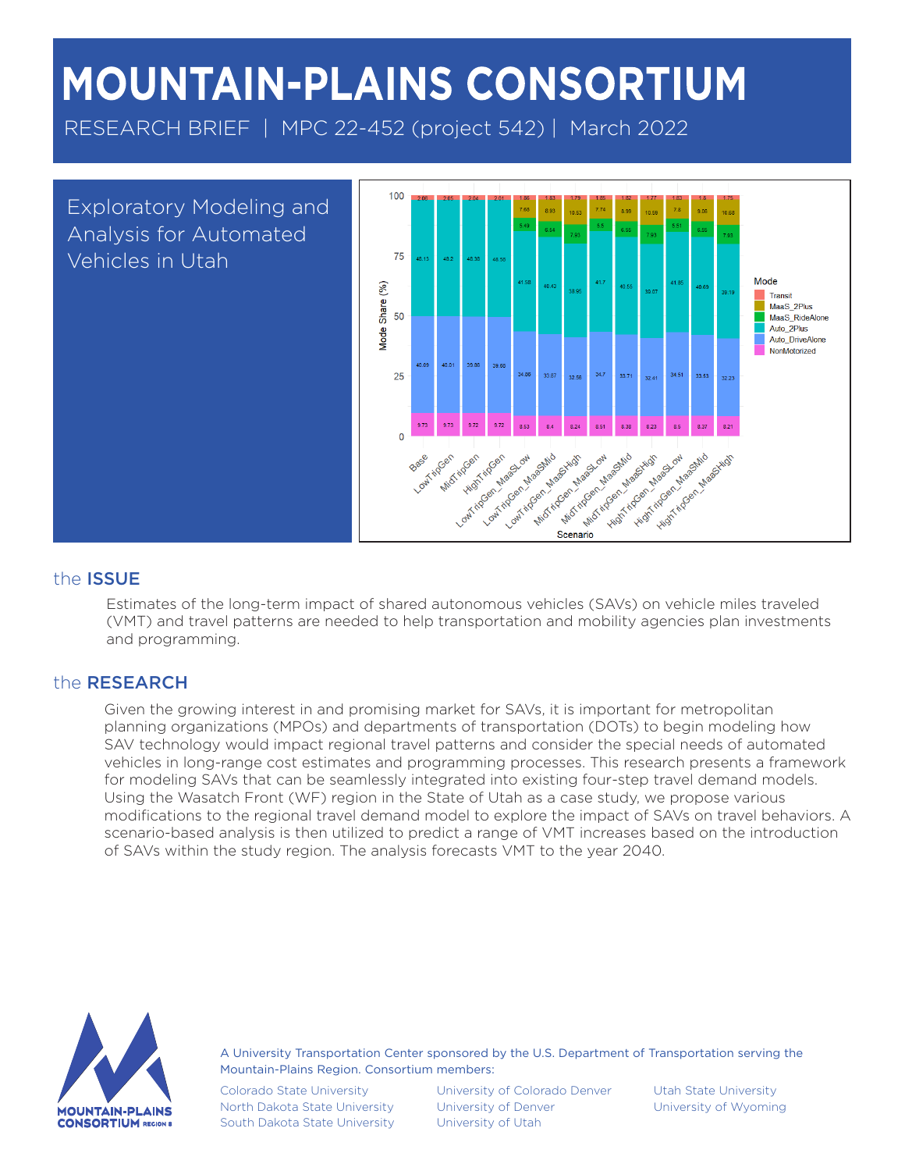# **MOUNTAIN-PLAINS CONSORTIUM**

RESEARCH BRIEF | MPC 22-452 (project 542) | March 2022

Exploratory Modeling and Analysis for Automated Vehicles in Utah



## the ISSUE

Estimates of the long-term impact of shared autonomous vehicles (SAVs) on vehicle miles traveled (VMT) and travel patterns are needed to help transportation and mobility agencies plan investments and programming.

## the RESEARCH

Given the growing interest in and promising market for SAVs, it is important for metropolitan planning organizations (MPOs) and departments of transportation (DOTs) to begin modeling how SAV technology would impact regional travel patterns and consider the special needs of automated vehicles in long-range cost estimates and programming processes. This research presents a framework for modeling SAVs that can be seamlessly integrated into existing four-step travel demand models. Using the Wasatch Front (WF) region in the State of Utah as a case study, we propose various modifications to the regional travel demand model to explore the impact of SAVs on travel behaviors. A scenario-based analysis is then utilized to predict a range of VMT increases based on the introduction of SAVs within the study region. The analysis forecasts VMT to the year 2040.



A University Transportation Center sponsored by the U.S. Department of Transportation serving the Mountain-Plains Region. Consortium members:

Colorado State University North Dakota State University South Dakota State University

University of Colorado Denver University of Denver University of Utah

Utah State University University of Wyoming